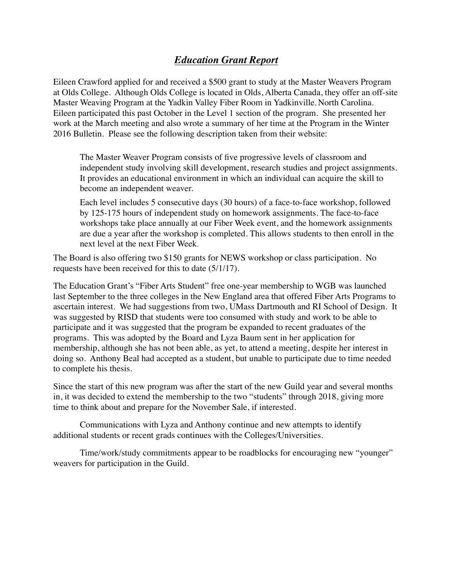## *Education Grant Report*

Eileen Crawford applied for and received a \$500 grant to study at the Master Weavers Program at Olds College. Although Olds College is located in Olds, Alberta Canada, they offer an off-site Master Weaving Program at the Yadkin Valley Fiber Room in Yadkinville, North Carolina. Eileen participated this past October in the Level 1 section of the program. She presented her work at the March meeting and also wrote a summary of her time at the Program in the Winter 2016 Bulletin. Please see the following description taken from their website:

The Master Weaver Program consists of five progressive levels of classroom and independent study involving skill development, research studies and project assignments. It provides an educational environment in which an individual can acquire the skill to become an independent weaver.

Each level includes 5 consecutive days (30 hours) of a face-to-face workshop, followed by 125-175 hours of independent study on homework assignments. The face-to-face workshops take place annually at our Fiber Week event, and the homework assignments are due a year after the workshop is completed. This allows students to then enroll in the next level at the next Fiber Week.

The Board is also offering two \$150 grants for NEWS workshop or class participation. No requests have been received for this to date (5/1/17).

The Education Grant's "Fiber Arts Student" free one-year membership to WGB was launched last September to the three colleges in the New England area that offered Fiber Arts Programs to ascertain interest. We had suggestions from two, UMass Dartmouth and RI School of Design. It was suggested by RISD that students were too consumed with study and work to be able to participate and it was suggested that the program be expanded to recent graduates of the programs. This was adopted by the Board and Lyza Baum sent in her application for membership, although she has not been able, as yet, to attend a meeting, despite her interest in doing so. Anthony Beal had accepted as a student, but unable to participate due to time needed to complete his thesis.

Since the start of this new program was after the start of the new Guild year and several months in, it was decided to extend the membership to the two "students" through 2018, giving more time to think about and prepare for the November Sale, if interested.

Communications with Lyza and Anthony continue and new attempts to identify additional students or recent grads continues with the Colleges/Universities.

Time/work/study commitments appear to be roadblocks for encouraging new "younger" weavers for participation in the Guild.